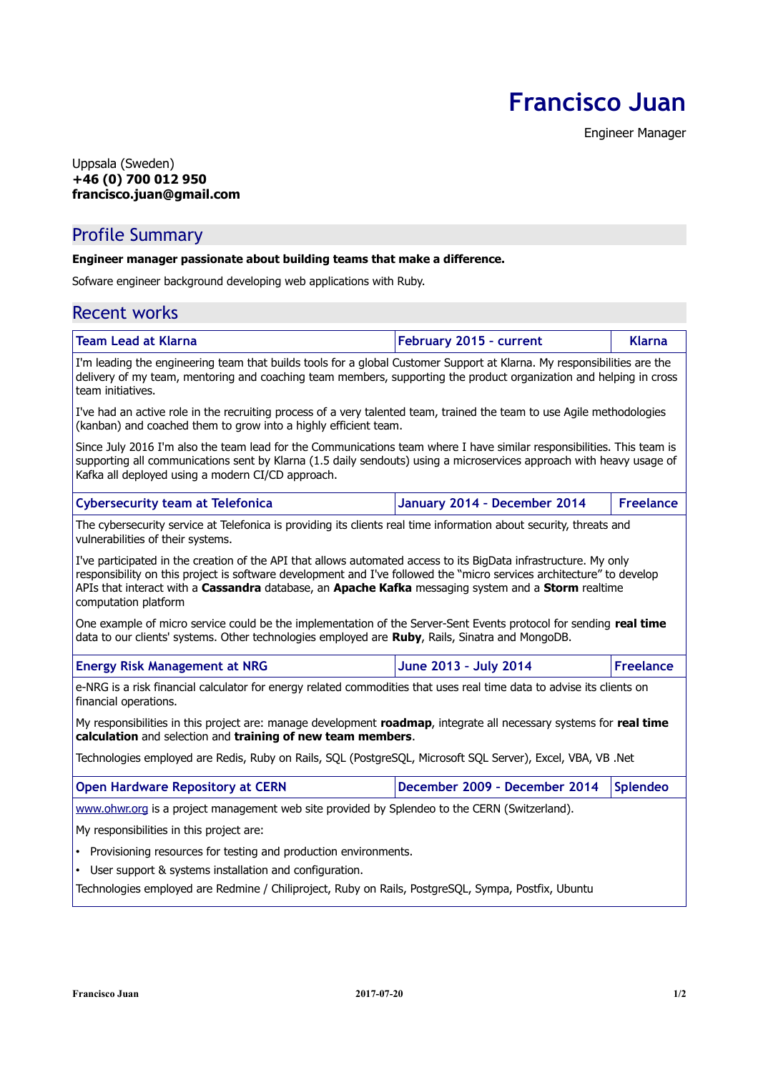**Francisco Juan**

Engineer Manager

#### Uppsala (Sweden) **+46 (0) 700 012 950 francisco.juan@gmail.com**

# Profile Summary

#### **Engineer manager passionate about building teams that make a difference.**

Sofware engineer background developing web applications with Ruby.

# Recent works

| <b>Team Lead at Klarna</b>                                                                                                                                                                                                                                                                                                                                               | February 2015 - current       | <b>Klarna</b>    |
|--------------------------------------------------------------------------------------------------------------------------------------------------------------------------------------------------------------------------------------------------------------------------------------------------------------------------------------------------------------------------|-------------------------------|------------------|
| I'm leading the engineering team that builds tools for a global Customer Support at Klarna. My responsibilities are the<br>delivery of my team, mentoring and coaching team members, supporting the product organization and helping in cross<br>team initiatives.                                                                                                       |                               |                  |
| I've had an active role in the recruiting process of a very talented team, trained the team to use Agile methodologies<br>(kanban) and coached them to grow into a highly efficient team.                                                                                                                                                                                |                               |                  |
| Since July 2016 I'm also the team lead for the Communications team where I have similar responsibilities. This team is<br>supporting all communications sent by Klarna (1.5 daily sendouts) using a microservices approach with heavy usage of<br>Kafka all deployed using a modern CI/CD approach.                                                                      |                               |                  |
| <b>Cybersecurity team at Telefonica</b>                                                                                                                                                                                                                                                                                                                                  | January 2014 - December 2014  | <b>Freelance</b> |
| The cybersecurity service at Telefonica is providing its clients real time information about security, threats and<br>vulnerabilities of their systems.                                                                                                                                                                                                                  |                               |                  |
| I've participated in the creation of the API that allows automated access to its BigData infrastructure. My only<br>responsibility on this project is software development and I've followed the "micro services architecture" to develop<br>APIs that interact with a Cassandra database, an Apache Kafka messaging system and a Storm realtime<br>computation platform |                               |                  |
| One example of micro service could be the implementation of the Server-Sent Events protocol for sending real time<br>data to our clients' systems. Other technologies employed are Ruby, Rails, Sinatra and MongoDB.                                                                                                                                                     |                               |                  |
| <b>Energy Risk Management at NRG</b>                                                                                                                                                                                                                                                                                                                                     | June 2013 - July 2014         | <b>Freelance</b> |
| e-NRG is a risk financial calculator for energy related commodities that uses real time data to advise its clients on<br>financial operations.                                                                                                                                                                                                                           |                               |                  |
| My responsibilities in this project are: manage development roadmap, integrate all necessary systems for real time<br>calculation and selection and training of new team members.                                                                                                                                                                                        |                               |                  |
| Technologies employed are Redis, Ruby on Rails, SQL (PostgreSQL, Microsoft SQL Server), Excel, VBA, VB .Net                                                                                                                                                                                                                                                              |                               |                  |
| <b>Open Hardware Repository at CERN</b>                                                                                                                                                                                                                                                                                                                                  | December 2009 - December 2014 | <b>Splendeo</b>  |
| www.ohwr.org is a project management web site provided by Splendeo to the CERN (Switzerland).                                                                                                                                                                                                                                                                            |                               |                  |
| My responsibilities in this project are:                                                                                                                                                                                                                                                                                                                                 |                               |                  |
| Provisioning resources for testing and production environments.                                                                                                                                                                                                                                                                                                          |                               |                  |
| User support & systems installation and configuration.<br>$\bullet$                                                                                                                                                                                                                                                                                                      |                               |                  |
| Technologies employed are Redmine / Chiliproject, Ruby on Rails, PostgreSQL, Sympa, Postfix, Ubuntu                                                                                                                                                                                                                                                                      |                               |                  |